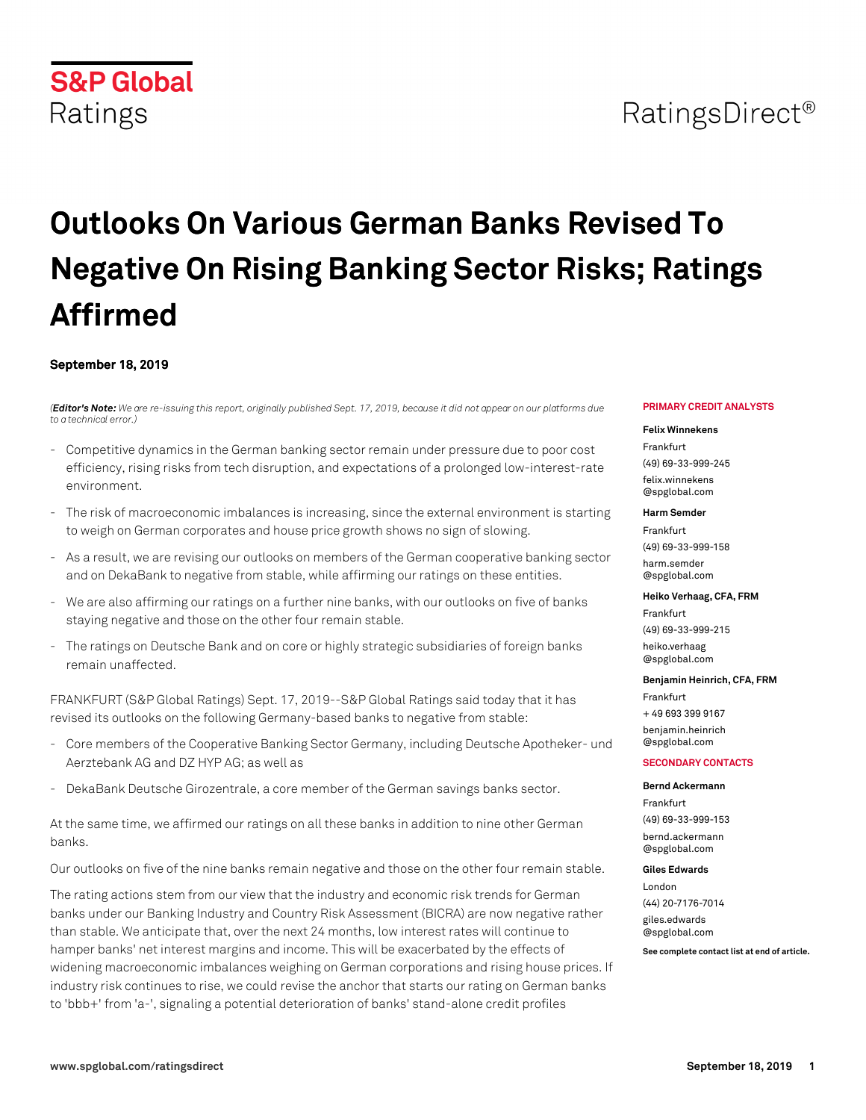#### **www.spglobal.com/ratingsdirect September 18, 2019 1**

# **S&P Global** Ratings

# **Outlooks On Various German Banks Revised To Negative On Rising Banking Sector Risks; Ratings Affirmed**

#### **September 18, 2019**

*(Editor's Note: We are re-issuing this report, originally published Sept. 17, 2019, because it did not appear on our platforms due to a technical error.)*

- Competitive dynamics in the German banking sector remain under pressure due to poor cost efficiency, rising risks from tech disruption, and expectations of a prolonged low-interest-rate environment.
- The risk of macroeconomic imbalances is increasing, since the external environment is starting to weigh on German corporates and house price growth shows no sign of slowing.
- As a result, we are revising our outlooks on members of the German cooperative banking sector and on DekaBank to negative from stable, while affirming our ratings on these entities.
- We are also affirming our ratings on a further nine banks, with our outlooks on five of banks staying negative and those on the other four remain stable.
- The ratings on Deutsche Bank and on core or highly strategic subsidiaries of foreign banks remain unaffected.

FRANKFURT (S&P Global Ratings) Sept. 17, 2019--S&P Global Ratings said today that it has revised its outlooks on the following Germany-based banks to negative from stable:

- Core members of the Cooperative Banking Sector Germany, including Deutsche Apotheker- und Aerztebank AG and DZ HYP AG; as well as
- DekaBank Deutsche Girozentrale, a core member of the German savings banks sector.

At the same time, we affirmed our ratings on all these banks in addition to nine other German banks.

Our outlooks on five of the nine banks remain negative and those on the other four remain stable.

The rating actions stem from our view that the industry and economic risk trends for German banks under our Banking Industry and Country Risk Assessment (BICRA) are now negative rather than stable. We anticipate that, over the next 24 months, low interest rates will continue to hamper banks' net interest margins and income. This will be exacerbated by the effects of widening macroeconomic imbalances weighing on German corporations and rising house prices. If industry risk continues to rise, we could revise the anchor that starts our rating on German banks to 'bbb+' from 'a-', signaling a potential deterioration of banks' stand-alone credit profiles

#### **PRIMARY CREDIT ANALYSTS**

#### **Felix Winnekens**

Frankfurt (49) 69-33-999-245 [felix.winnekens](mailto: felix.winnekens@spglobal.com) [@spglobal.com](mailto: felix.winnekens@spglobal.com)

#### **Harm Semder**

Frankfurt (49) 69-33-999-158 [harm.semder](mailto: harm.semder@spglobal.com) [@spglobal.com](mailto: harm.semder@spglobal.com)

#### **Heiko Verhaag, CFA, FRM**

Frankfurt (49) 69-33-999-215 [heiko.verhaag](mailto: heiko.verhaag@spglobal.com) [@spglobal.com](mailto: heiko.verhaag@spglobal.com)

#### **Benjamin Heinrich, CFA, FRM**

Frankfurt + 49 693 399 9167 [benjamin.heinrich](mailto: benjamin.heinrich@spglobal.com) [@spglobal.com](mailto: benjamin.heinrich@spglobal.com)

#### **SECONDARY CONTACTS**

**Bernd Ackermann** Frankfurt (49) 69-33-999-153 [bernd.ackermann](mailto: bernd.ackermann@spglobal.com) [@spglobal.com](mailto: bernd.ackermann@spglobal.com)

#### **Giles Edwards**

London (44) 20-7176-7014

[giles.edwards](mailto: giles.edwards@spglobal.com) [@spglobal.com](mailto: giles.edwards@spglobal.com)

**See complete contact list at end of article.**

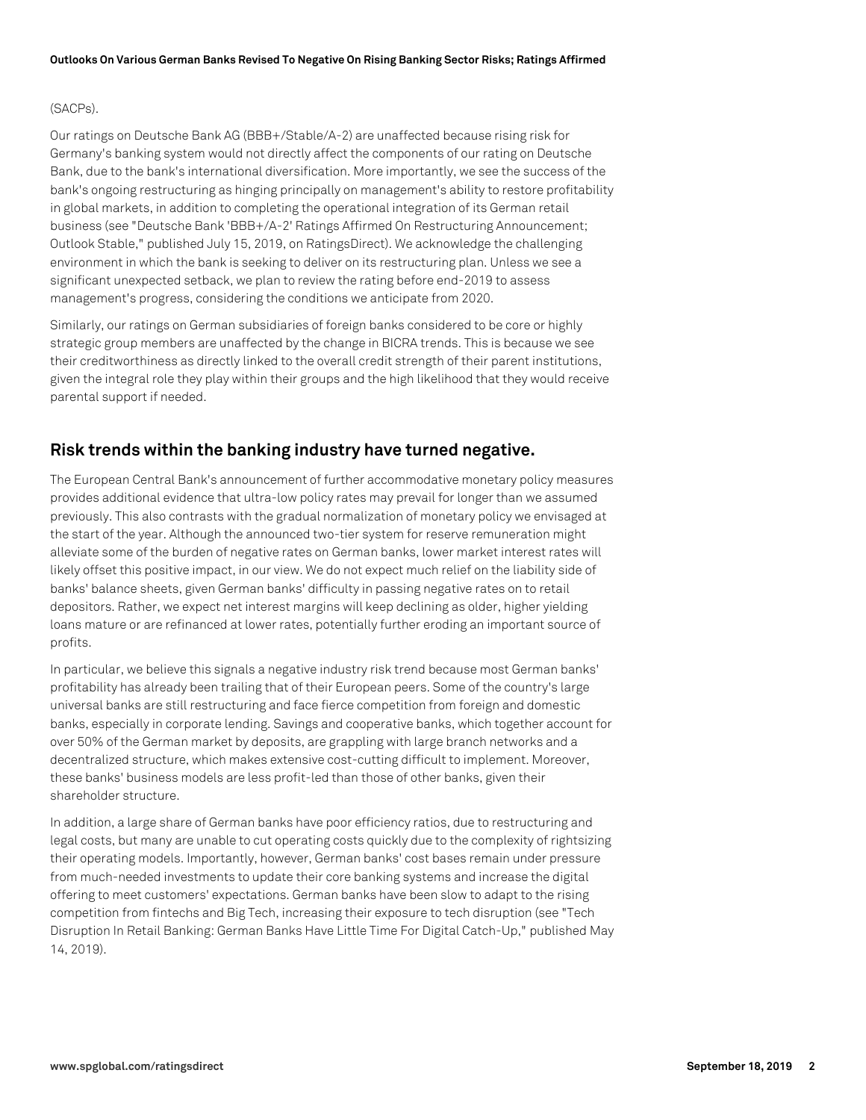#### (SACPs).

Our ratings on Deutsche Bank AG (BBB+/Stable/A-2) are unaffected because rising risk for Germany's banking system would not directly affect the components of our rating on Deutsche Bank, due to the bank's international diversification. More importantly, we see the success of the bank's ongoing restructuring as hinging principally on management's ability to restore profitability in global markets, in addition to completing the operational integration of its German retail business (see "Deutsche Bank 'BBB+/A-2' Ratings Affirmed On Restructuring Announcement; Outlook Stable," published July 15, 2019, on RatingsDirect). We acknowledge the challenging environment in which the bank is seeking to deliver on its restructuring plan. Unless we see a significant unexpected setback, we plan to review the rating before end-2019 to assess management's progress, considering the conditions we anticipate from 2020.

Similarly, our ratings on German subsidiaries of foreign banks considered to be core or highly strategic group members are unaffected by the change in BICRA trends. This is because we see their creditworthiness as directly linked to the overall credit strength of their parent institutions, given the integral role they play within their groups and the high likelihood that they would receive parental support if needed.

# **Risk trends within the banking industry have turned negative.**

The European Central Bank's announcement of further accommodative monetary policy measures provides additional evidence that ultra-low policy rates may prevail for longer than we assumed previously. This also contrasts with the gradual normalization of monetary policy we envisaged at the start of the year. Although the announced two-tier system for reserve remuneration might alleviate some of the burden of negative rates on German banks, lower market interest rates will likely offset this positive impact, in our view. We do not expect much relief on the liability side of banks' balance sheets, given German banks' difficulty in passing negative rates on to retail depositors. Rather, we expect net interest margins will keep declining as older, higher yielding loans mature or are refinanced at lower rates, potentially further eroding an important source of profits.

In particular, we believe this signals a negative industry risk trend because most German banks' profitability has already been trailing that of their European peers. Some of the country's large universal banks are still restructuring and face fierce competition from foreign and domestic banks, especially in corporate lending. Savings and cooperative banks, which together account for over 50% of the German market by deposits, are grappling with large branch networks and a decentralized structure, which makes extensive cost-cutting difficult to implement. Moreover, these banks' business models are less profit-led than those of other banks, given their shareholder structure.

In addition, a large share of German banks have poor efficiency ratios, due to restructuring and legal costs, but many are unable to cut operating costs quickly due to the complexity of rightsizing their operating models. Importantly, however, German banks' cost bases remain under pressure from much-needed investments to update their core banking systems and increase the digital offering to meet customers' expectations. German banks have been slow to adapt to the rising competition from fintechs and Big Tech, increasing their exposure to tech disruption (see "Tech Disruption In Retail Banking: German Banks Have Little Time For Digital Catch-Up," published May 14, 2019).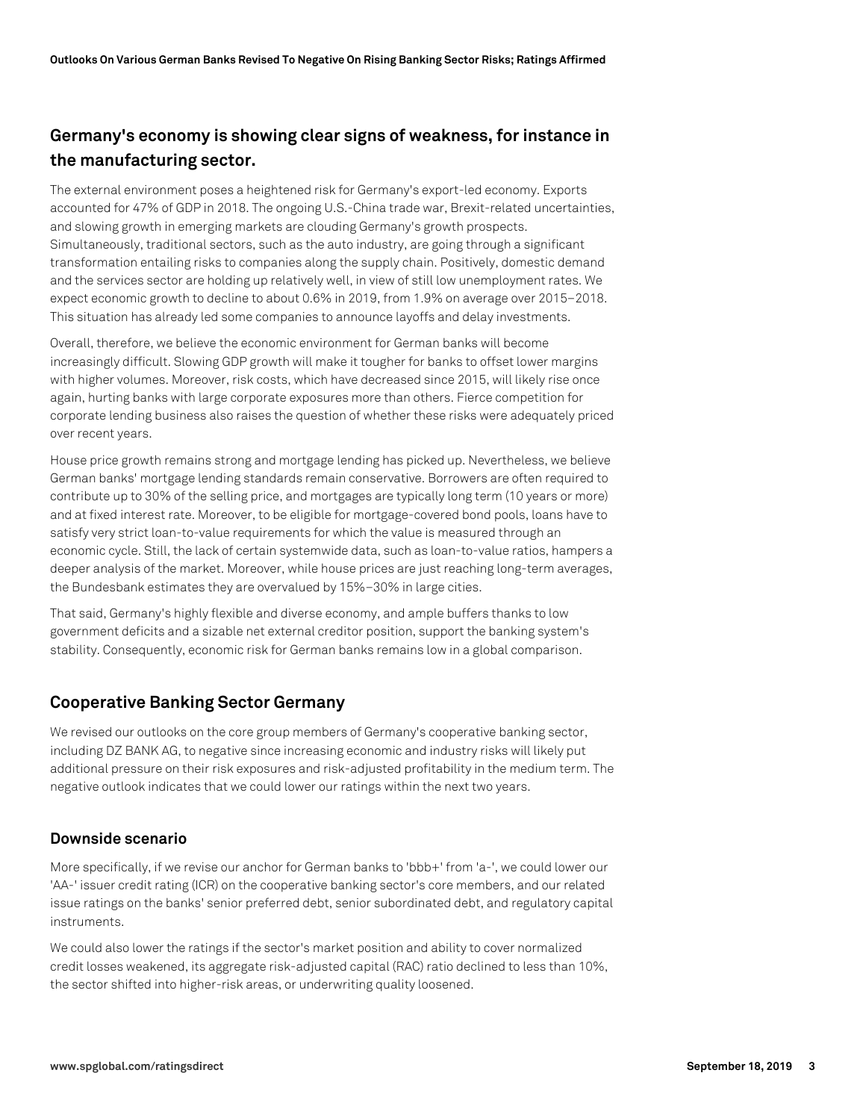# **Germany's economy is showing clear signs of weakness, for instance in the manufacturing sector.**

The external environment poses a heightened risk for Germany's export-led economy. Exports accounted for 47% of GDP in 2018. The ongoing U.S.-China trade war, Brexit-related uncertainties, and slowing growth in emerging markets are clouding Germany's growth prospects. Simultaneously, traditional sectors, such as the auto industry, are going through a significant transformation entailing risks to companies along the supply chain. Positively, domestic demand and the services sector are holding up relatively well, in view of still low unemployment rates. We expect economic growth to decline to about 0.6% in 2019, from 1.9% on average over 2015–2018. This situation has already led some companies to announce layoffs and delay investments.

Overall, therefore, we believe the economic environment for German banks will become increasingly difficult. Slowing GDP growth will make it tougher for banks to offset lower margins with higher volumes. Moreover, risk costs, which have decreased since 2015, will likely rise once again, hurting banks with large corporate exposures more than others. Fierce competition for corporate lending business also raises the question of whether these risks were adequately priced over recent years.

House price growth remains strong and mortgage lending has picked up. Nevertheless, we believe German banks' mortgage lending standards remain conservative. Borrowers are often required to contribute up to 30% of the selling price, and mortgages are typically long term (10 years or more) and at fixed interest rate. Moreover, to be eligible for mortgage-covered bond pools, loans have to satisfy very strict loan-to-value requirements for which the value is measured through an economic cycle. Still, the lack of certain systemwide data, such as loan-to-value ratios, hampers a deeper analysis of the market. Moreover, while house prices are just reaching long-term averages, the Bundesbank estimates they are overvalued by 15%–30% in large cities.

That said, Germany's highly flexible and diverse economy, and ample buffers thanks to low government deficits and a sizable net external creditor position, support the banking system's stability. Consequently, economic risk for German banks remains low in a global comparison.

# **Cooperative Banking Sector Germany**

We revised our outlooks on the core group members of Germany's cooperative banking sector, including DZ BANK AG, to negative since increasing economic and industry risks will likely put additional pressure on their risk exposures and risk-adjusted profitability in the medium term. The negative outlook indicates that we could lower our ratings within the next two years.

# **Downside scenario**

More specifically, if we revise our anchor for German banks to 'bbb+' from 'a-', we could lower our 'AA-' issuer credit rating (ICR) on the cooperative banking sector's core members, and our related issue ratings on the banks' senior preferred debt, senior subordinated debt, and regulatory capital instruments.

We could also lower the ratings if the sector's market position and ability to cover normalized credit losses weakened, its aggregate risk-adjusted capital (RAC) ratio declined to less than 10%, the sector shifted into higher-risk areas, or underwriting quality loosened.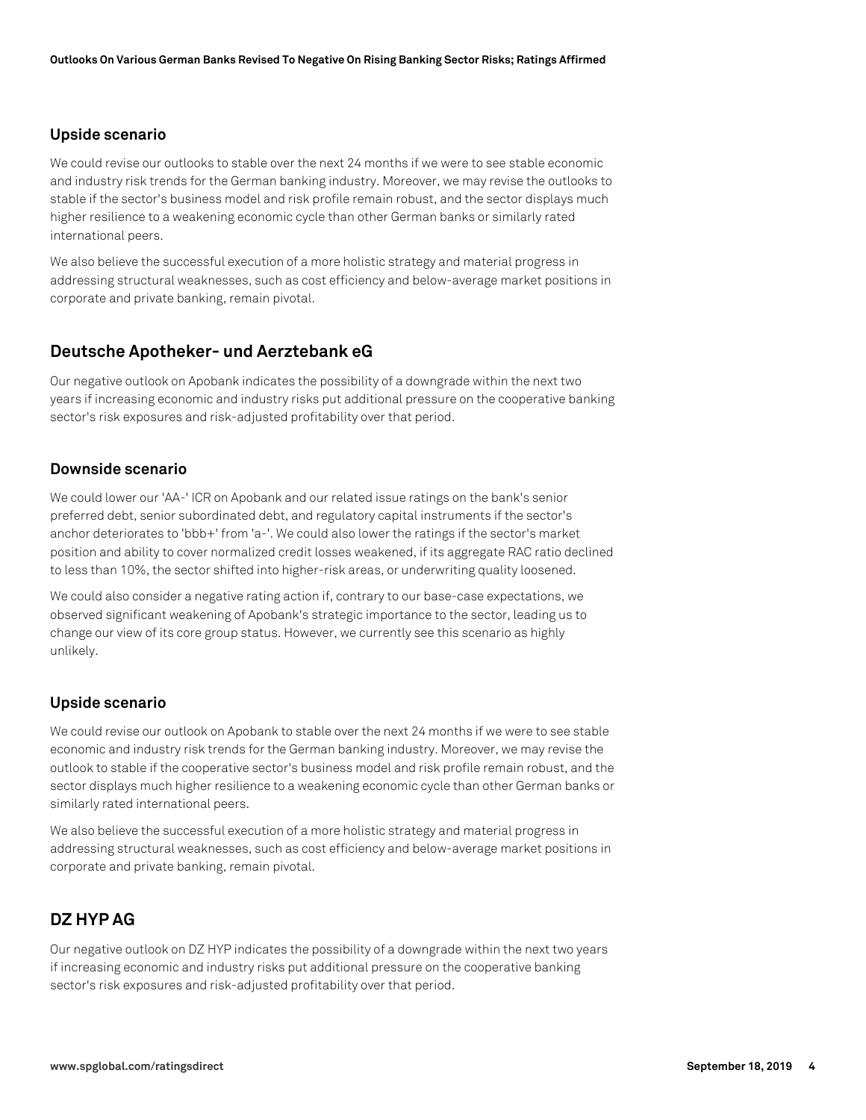# **Upside scenario**

We could revise our outlooks to stable over the next 24 months if we were to see stable economic and industry risk trends for the German banking industry. Moreover, we may revise the outlooks to stable if the sector's business model and risk profile remain robust, and the sector displays much higher resilience to a weakening economic cycle than other German banks or similarly rated international peers.

We also believe the successful execution of a more holistic strategy and material progress in addressing structural weaknesses, such as cost efficiency and below-average market positions in corporate and private banking, remain pivotal.

# **Deutsche Apotheker- und Aerztebank eG**

Our negative outlook on Apobank indicates the possibility of a downgrade within the next two years if increasing economic and industry risks put additional pressure on the cooperative banking sector's risk exposures and risk-adjusted profitability over that period.

# **Downside scenario**

We could lower our 'AA-' ICR on Apobank and our related issue ratings on the bank's senior preferred debt, senior subordinated debt, and regulatory capital instruments if the sector's anchor deteriorates to 'bbb+' from 'a-'. We could also lower the ratings if the sector's market position and ability to cover normalized credit losses weakened, if its aggregate RAC ratio declined to less than 10%, the sector shifted into higher-risk areas, or underwriting quality loosened.

We could also consider a negative rating action if, contrary to our base-case expectations, we observed significant weakening of Apobank's strategic importance to the sector, leading us to change our view of its core group status. However, we currently see this scenario as highly unlikely.

# **Upside scenario**

We could revise our outlook on Apobank to stable over the next 24 months if we were to see stable economic and industry risk trends for the German banking industry. Moreover, we may revise the outlook to stable if the cooperative sector's business model and risk profile remain robust, and the sector displays much higher resilience to a weakening economic cycle than other German banks or similarly rated international peers.

We also believe the successful execution of a more holistic strategy and material progress in addressing structural weaknesses, such as cost efficiency and below-average market positions in corporate and private banking, remain pivotal.

# **DZ HYP AG**

Our negative outlook on DZ HYP indicates the possibility of a downgrade within the next two years if increasing economic and industry risks put additional pressure on the cooperative banking sector's risk exposures and risk-adjusted profitability over that period.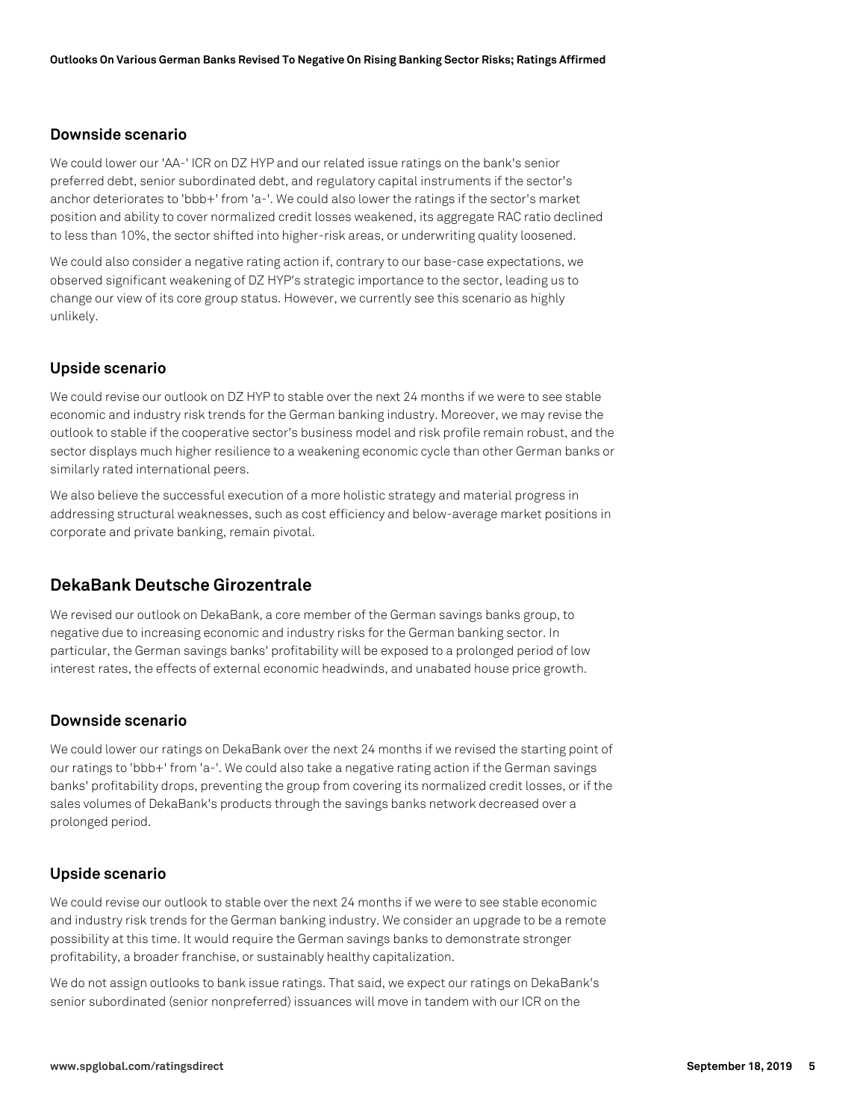### **Downside scenario**

We could lower our 'AA-' ICR on DZ HYP and our related issue ratings on the bank's senior preferred debt, senior subordinated debt, and regulatory capital instruments if the sector's anchor deteriorates to 'bbb+' from 'a-'. We could also lower the ratings if the sector's market position and ability to cover normalized credit losses weakened, its aggregate RAC ratio declined to less than 10%, the sector shifted into higher-risk areas, or underwriting quality loosened.

We could also consider a negative rating action if, contrary to our base-case expectations, we observed significant weakening of DZ HYP's strategic importance to the sector, leading us to change our view of its core group status. However, we currently see this scenario as highly unlikely.

### **Upside scenario**

We could revise our outlook on DZ HYP to stable over the next 24 months if we were to see stable economic and industry risk trends for the German banking industry. Moreover, we may revise the outlook to stable if the cooperative sector's business model and risk profile remain robust, and the sector displays much higher resilience to a weakening economic cycle than other German banks or similarly rated international peers.

We also believe the successful execution of a more holistic strategy and material progress in addressing structural weaknesses, such as cost efficiency and below-average market positions in corporate and private banking, remain pivotal.

# **DekaBank Deutsche Girozentrale**

We revised our outlook on DekaBank, a core member of the German savings banks group, to negative due to increasing economic and industry risks for the German banking sector. In particular, the German savings banks' profitability will be exposed to a prolonged period of low interest rates, the effects of external economic headwinds, and unabated house price growth.

#### **Downside scenario**

We could lower our ratings on DekaBank over the next 24 months if we revised the starting point of our ratings to 'bbb+' from 'a-'. We could also take a negative rating action if the German savings banks' profitability drops, preventing the group from covering its normalized credit losses, or if the sales volumes of DekaBank's products through the savings banks network decreased over a prolonged period.

#### **Upside scenario**

We could revise our outlook to stable over the next 24 months if we were to see stable economic and industry risk trends for the German banking industry. We consider an upgrade to be a remote possibility at this time. It would require the German savings banks to demonstrate stronger profitability, a broader franchise, or sustainably healthy capitalization.

We do not assign outlooks to bank issue ratings. That said, we expect our ratings on DekaBank's senior subordinated (senior nonpreferred) issuances will move in tandem with our ICR on the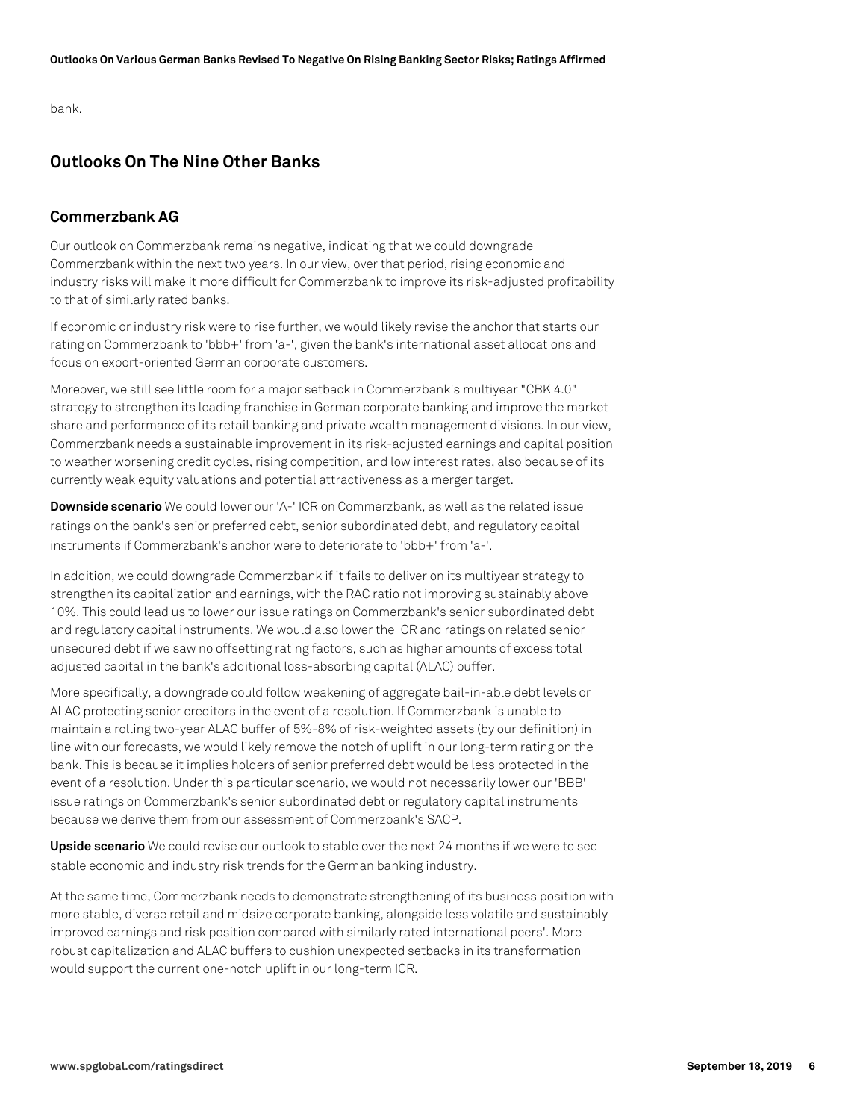bank.

# **Outlooks On The Nine Other Banks**

# **Commerzbank AG**

Our outlook on Commerzbank remains negative, indicating that we could downgrade Commerzbank within the next two years. In our view, over that period, rising economic and industry risks will make it more difficult for Commerzbank to improve its risk-adjusted profitability to that of similarly rated banks.

If economic or industry risk were to rise further, we would likely revise the anchor that starts our rating on Commerzbank to 'bbb+' from 'a-', given the bank's international asset allocations and focus on export-oriented German corporate customers.

Moreover, we still see little room for a major setback in Commerzbank's multiyear "CBK 4.0" strategy to strengthen its leading franchise in German corporate banking and improve the market share and performance of its retail banking and private wealth management divisions. In our view, Commerzbank needs a sustainable improvement in its risk-adjusted earnings and capital position to weather worsening credit cycles, rising competition, and low interest rates, also because of its currently weak equity valuations and potential attractiveness as a merger target.

**Downside scenario** We could lower our 'A-' ICR on Commerzbank, as well as the related issue ratings on the bank's senior preferred debt, senior subordinated debt, and regulatory capital instruments if Commerzbank's anchor were to deteriorate to 'bbb+' from 'a-'.

In addition, we could downgrade Commerzbank if it fails to deliver on its multiyear strategy to strengthen its capitalization and earnings, with the RAC ratio not improving sustainably above 10%. This could lead us to lower our issue ratings on Commerzbank's senior subordinated debt and regulatory capital instruments. We would also lower the ICR and ratings on related senior unsecured debt if we saw no offsetting rating factors, such as higher amounts of excess total adjusted capital in the bank's additional loss-absorbing capital (ALAC) buffer.

More specifically, a downgrade could follow weakening of aggregate bail-in-able debt levels or ALAC protecting senior creditors in the event of a resolution. If Commerzbank is unable to maintain a rolling two-year ALAC buffer of 5%-8% of risk-weighted assets (by our definition) in line with our forecasts, we would likely remove the notch of uplift in our long-term rating on the bank. This is because it implies holders of senior preferred debt would be less protected in the event of a resolution. Under this particular scenario, we would not necessarily lower our 'BBB' issue ratings on Commerzbank's senior subordinated debt or regulatory capital instruments because we derive them from our assessment of Commerzbank's SACP.

**Upside scenario** We could revise our outlook to stable over the next 24 months if we were to see stable economic and industry risk trends for the German banking industry.

At the same time, Commerzbank needs to demonstrate strengthening of its business position with more stable, diverse retail and midsize corporate banking, alongside less volatile and sustainably improved earnings and risk position compared with similarly rated international peers'. More robust capitalization and ALAC buffers to cushion unexpected setbacks in its transformation would support the current one-notch uplift in our long-term ICR.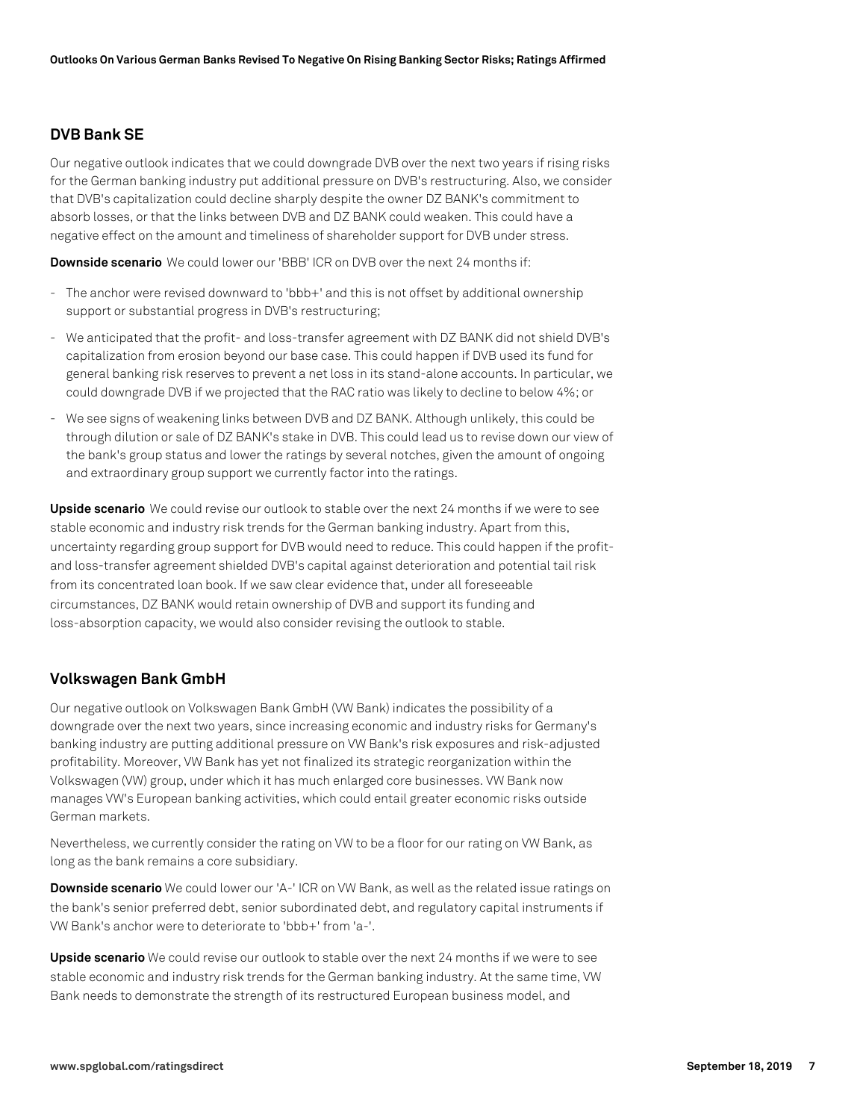### **DVB Bank SE**

Our negative outlook indicates that we could downgrade DVB over the next two years if rising risks for the German banking industry put additional pressure on DVB's restructuring. Also, we consider that DVB's capitalization could decline sharply despite the owner DZ BANK's commitment to absorb losses, or that the links between DVB and DZ BANK could weaken. This could have a negative effect on the amount and timeliness of shareholder support for DVB under stress.

**Downside scenario** We could lower our 'BBB' ICR on DVB over the next 24 months if:

- The anchor were revised downward to 'bbb+' and this is not offset by additional ownership support or substantial progress in DVB's restructuring;
- We anticipated that the profit- and loss-transfer agreement with DZ BANK did not shield DVB's capitalization from erosion beyond our base case. This could happen if DVB used its fund for general banking risk reserves to prevent a net loss in its stand-alone accounts. In particular, we could downgrade DVB if we projected that the RAC ratio was likely to decline to below 4%; or
- We see signs of weakening links between DVB and DZ BANK. Although unlikely, this could be through dilution or sale of DZ BANK's stake in DVB. This could lead us to revise down our view of the bank's group status and lower the ratings by several notches, given the amount of ongoing and extraordinary group support we currently factor into the ratings.

**Upside scenario** We could revise our outlook to stable over the next 24 months if we were to see stable economic and industry risk trends for the German banking industry. Apart from this, uncertainty regarding group support for DVB would need to reduce. This could happen if the profitand loss-transfer agreement shielded DVB's capital against deterioration and potential tail risk from its concentrated loan book. If we saw clear evidence that, under all foreseeable circumstances, DZ BANK would retain ownership of DVB and support its funding and loss-absorption capacity, we would also consider revising the outlook to stable.

# **Volkswagen Bank GmbH**

Our negative outlook on Volkswagen Bank GmbH (VW Bank) indicates the possibility of a downgrade over the next two years, since increasing economic and industry risks for Germany's banking industry are putting additional pressure on VW Bank's risk exposures and risk-adjusted profitability. Moreover, VW Bank has yet not finalized its strategic reorganization within the Volkswagen (VW) group, under which it has much enlarged core businesses. VW Bank now manages VW's European banking activities, which could entail greater economic risks outside German markets.

Nevertheless, we currently consider the rating on VW to be a floor for our rating on VW Bank, as long as the bank remains a core subsidiary.

**Downside scenario** We could lower our 'A-' ICR on VW Bank, as well as the related issue ratings on the bank's senior preferred debt, senior subordinated debt, and regulatory capital instruments if VW Bank's anchor were to deteriorate to 'bbb+' from 'a-'.

**Upside scenario** We could revise our outlook to stable over the next 24 months if we were to see stable economic and industry risk trends for the German banking industry. At the same time, VW Bank needs to demonstrate the strength of its restructured European business model, and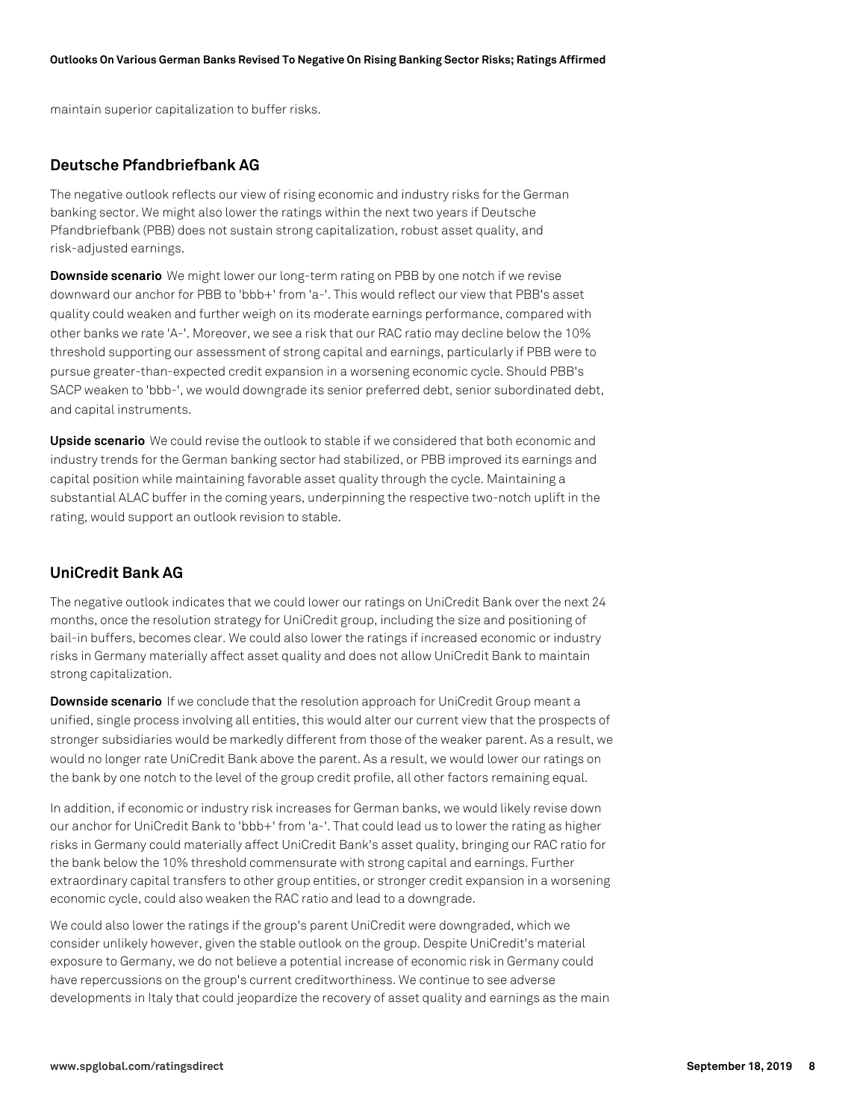maintain superior capitalization to buffer risks.

### **Deutsche Pfandbriefbank AG**

The negative outlook reflects our view of rising economic and industry risks for the German banking sector. We might also lower the ratings within the next two years if Deutsche Pfandbriefbank (PBB) does not sustain strong capitalization, robust asset quality, and risk-adjusted earnings.

**Downside scenario** We might lower our long-term rating on PBB by one notch if we revise downward our anchor for PBB to 'bbb+' from 'a-'. This would reflect our view that PBB's asset quality could weaken and further weigh on its moderate earnings performance, compared with other banks we rate 'A-'. Moreover, we see a risk that our RAC ratio may decline below the 10% threshold supporting our assessment of strong capital and earnings, particularly if PBB were to pursue greater-than-expected credit expansion in a worsening economic cycle. Should PBB's SACP weaken to 'bbb-', we would downgrade its senior preferred debt, senior subordinated debt, and capital instruments.

**Upside scenario** We could revise the outlook to stable if we considered that both economic and industry trends for the German banking sector had stabilized, or PBB improved its earnings and capital position while maintaining favorable asset quality through the cycle. Maintaining a substantial ALAC buffer in the coming years, underpinning the respective two-notch uplift in the rating, would support an outlook revision to stable.

### **UniCredit Bank AG**

The negative outlook indicates that we could lower our ratings on UniCredit Bank over the next 24 months, once the resolution strategy for UniCredit group, including the size and positioning of bail-in buffers, becomes clear. We could also lower the ratings if increased economic or industry risks in Germany materially affect asset quality and does not allow UniCredit Bank to maintain strong capitalization.

**Downside scenario** If we conclude that the resolution approach for UniCredit Group meant a unified, single process involving all entities, this would alter our current view that the prospects of stronger subsidiaries would be markedly different from those of the weaker parent. As a result, we would no longer rate UniCredit Bank above the parent. As a result, we would lower our ratings on the bank by one notch to the level of the group credit profile, all other factors remaining equal.

In addition, if economic or industry risk increases for German banks, we would likely revise down our anchor for UniCredit Bank to 'bbb+' from 'a-'. That could lead us to lower the rating as higher risks in Germany could materially affect UniCredit Bank's asset quality, bringing our RAC ratio for the bank below the 10% threshold commensurate with strong capital and earnings. Further extraordinary capital transfers to other group entities, or stronger credit expansion in a worsening economic cycle, could also weaken the RAC ratio and lead to a downgrade.

We could also lower the ratings if the group's parent UniCredit were downgraded, which we consider unlikely however, given the stable outlook on the group. Despite UniCredit's material exposure to Germany, we do not believe a potential increase of economic risk in Germany could have repercussions on the group's current creditworthiness. We continue to see adverse developments in Italy that could jeopardize the recovery of asset quality and earnings as the main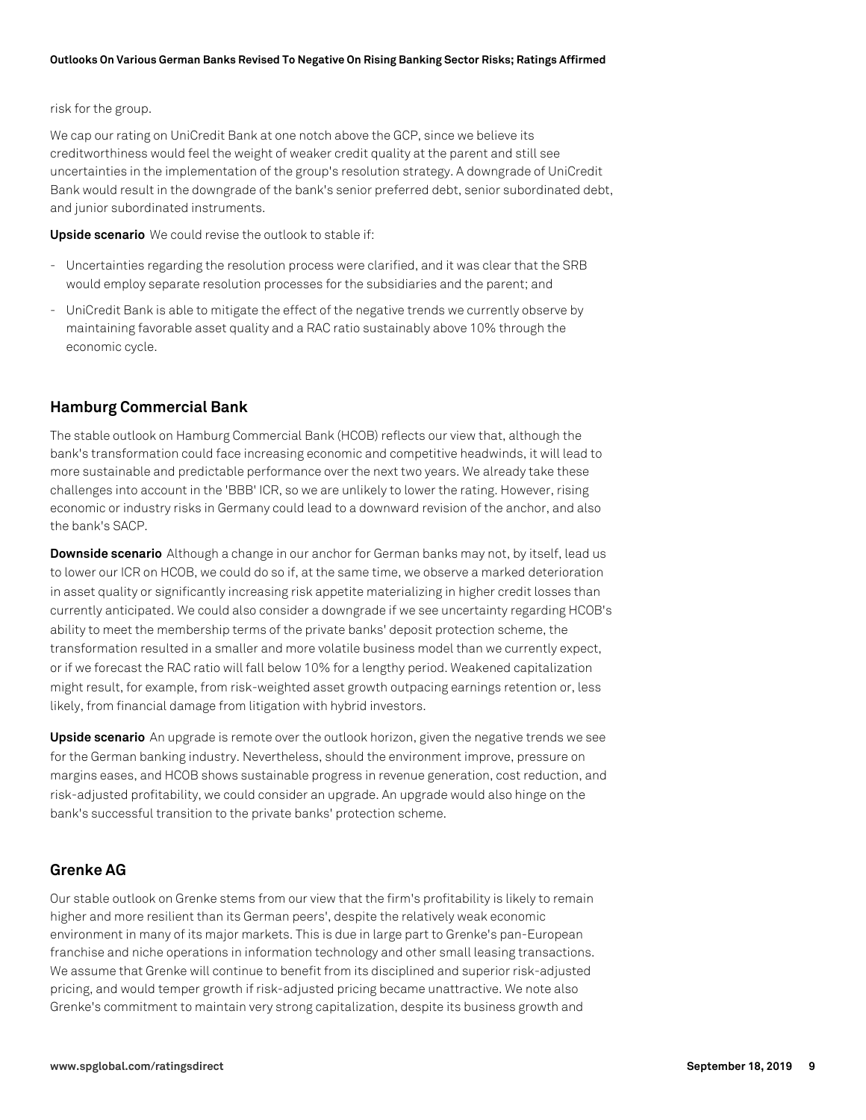#### risk for the group.

We cap our rating on UniCredit Bank at one notch above the GCP, since we believe its creditworthiness would feel the weight of weaker credit quality at the parent and still see uncertainties in the implementation of the group's resolution strategy. A downgrade of UniCredit Bank would result in the downgrade of the bank's senior preferred debt, senior subordinated debt, and junior subordinated instruments.

**Upside scenario** We could revise the outlook to stable if:

- Uncertainties regarding the resolution process were clarified, and it was clear that the SRB would employ separate resolution processes for the subsidiaries and the parent; and
- UniCredit Bank is able to mitigate the effect of the negative trends we currently observe by maintaining favorable asset quality and a RAC ratio sustainably above 10% through the economic cycle.

# **Hamburg Commercial Bank**

The stable outlook on Hamburg Commercial Bank (HCOB) reflects our view that, although the bank's transformation could face increasing economic and competitive headwinds, it will lead to more sustainable and predictable performance over the next two years. We already take these challenges into account in the 'BBB' ICR, so we are unlikely to lower the rating. However, rising economic or industry risks in Germany could lead to a downward revision of the anchor, and also the bank's SACP.

**Downside scenario** Although a change in our anchor for German banks may not, by itself, lead us to lower our ICR on HCOB, we could do so if, at the same time, we observe a marked deterioration in asset quality or significantly increasing risk appetite materializing in higher credit losses than currently anticipated. We could also consider a downgrade if we see uncertainty regarding HCOB's ability to meet the membership terms of the private banks' deposit protection scheme, the transformation resulted in a smaller and more volatile business model than we currently expect, or if we forecast the RAC ratio will fall below 10% for a lengthy period. Weakened capitalization might result, for example, from risk-weighted asset growth outpacing earnings retention or, less likely, from financial damage from litigation with hybrid investors.

**Upside scenario** An upgrade is remote over the outlook horizon, given the negative trends we see for the German banking industry. Nevertheless, should the environment improve, pressure on margins eases, and HCOB shows sustainable progress in revenue generation, cost reduction, and risk-adjusted profitability, we could consider an upgrade. An upgrade would also hinge on the bank's successful transition to the private banks' protection scheme.

#### **Grenke AG**

Our stable outlook on Grenke stems from our view that the firm's profitability is likely to remain higher and more resilient than its German peers', despite the relatively weak economic environment in many of its major markets. This is due in large part to Grenke's pan-European franchise and niche operations in information technology and other small leasing transactions. We assume that Grenke will continue to benefit from its disciplined and superior risk-adjusted pricing, and would temper growth if risk-adjusted pricing became unattractive. We note also Grenke's commitment to maintain very strong capitalization, despite its business growth and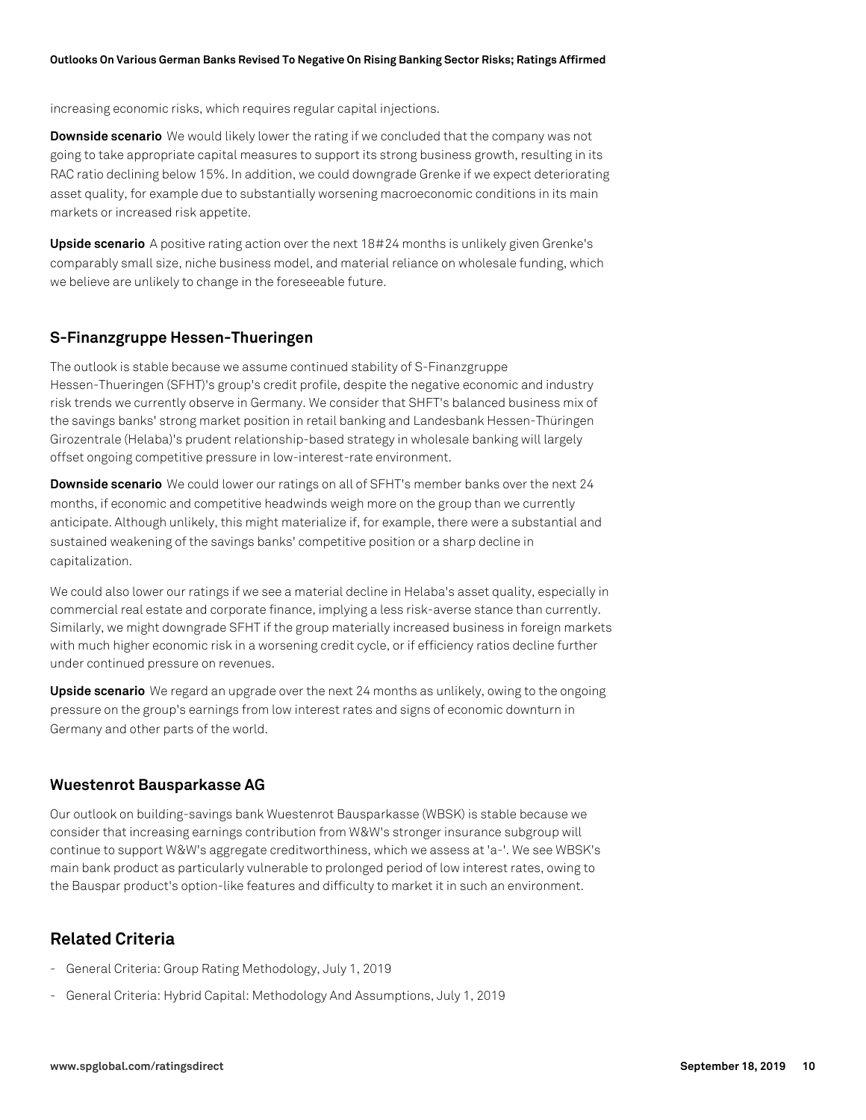increasing economic risks, which requires regular capital injections.

**Downside scenario** We would likely lower the rating if we concluded that the company was not going to take appropriate capital measures to support its strong business growth, resulting in its RAC ratio declining below 15%. In addition, we could downgrade Grenke if we expect deteriorating asset quality, for example due to substantially worsening macroeconomic conditions in its main markets or increased risk appetite.

**Upside scenario** A positive rating action over the next 18#24 months is unlikely given Grenke's comparably small size, niche business model, and material reliance on wholesale funding, which we believe are unlikely to change in the foreseeable future.

#### **S-Finanzgruppe Hessen-Thueringen**

The outlook is stable because we assume continued stability of S-Finanzgruppe Hessen-Thueringen (SFHT)'s group's credit profile, despite the negative economic and industry risk trends we currently observe in Germany. We consider that SHFT's balanced business mix of the savings banks' strong market position in retail banking and Landesbank Hessen-Thüringen Girozentrale (Helaba)'s prudent relationship-based strategy in wholesale banking will largely offset ongoing competitive pressure in low-interest-rate environment.

**Downside scenario** We could lower our ratings on all of SFHT's member banks over the next 24 months, if economic and competitive headwinds weigh more on the group than we currently anticipate. Although unlikely, this might materialize if, for example, there were a substantial and sustained weakening of the savings banks' competitive position or a sharp decline in capitalization.

We could also lower our ratings if we see a material decline in Helaba's asset quality, especially in commercial real estate and corporate finance, implying a less risk-averse stance than currently. Similarly, we might downgrade SFHT if the group materially increased business in foreign markets with much higher economic risk in a worsening credit cycle, or if efficiency ratios decline further under continued pressure on revenues.

**Upside scenario** We regard an upgrade over the next 24 months as unlikely, owing to the ongoing pressure on the group's earnings from low interest rates and signs of economic downturn in Germany and other parts of the world.

### **Wuestenrot Bausparkasse AG**

Our outlook on building-savings bank Wuestenrot Bausparkasse (WBSK) is stable because we consider that increasing earnings contribution from W&W's stronger insurance subgroup will continue to support W&W's aggregate creditworthiness, which we assess at 'a-'. We see WBSK's main bank product as particularly vulnerable to prolonged period of low interest rates, owing to the Bauspar product's option-like features and difficulty to market it in such an environment.

# **Related Criteria**

- General Criteria: Group Rating Methodology, July 1, 2019
- General Criteria: Hybrid Capital: Methodology And Assumptions, July 1, 2019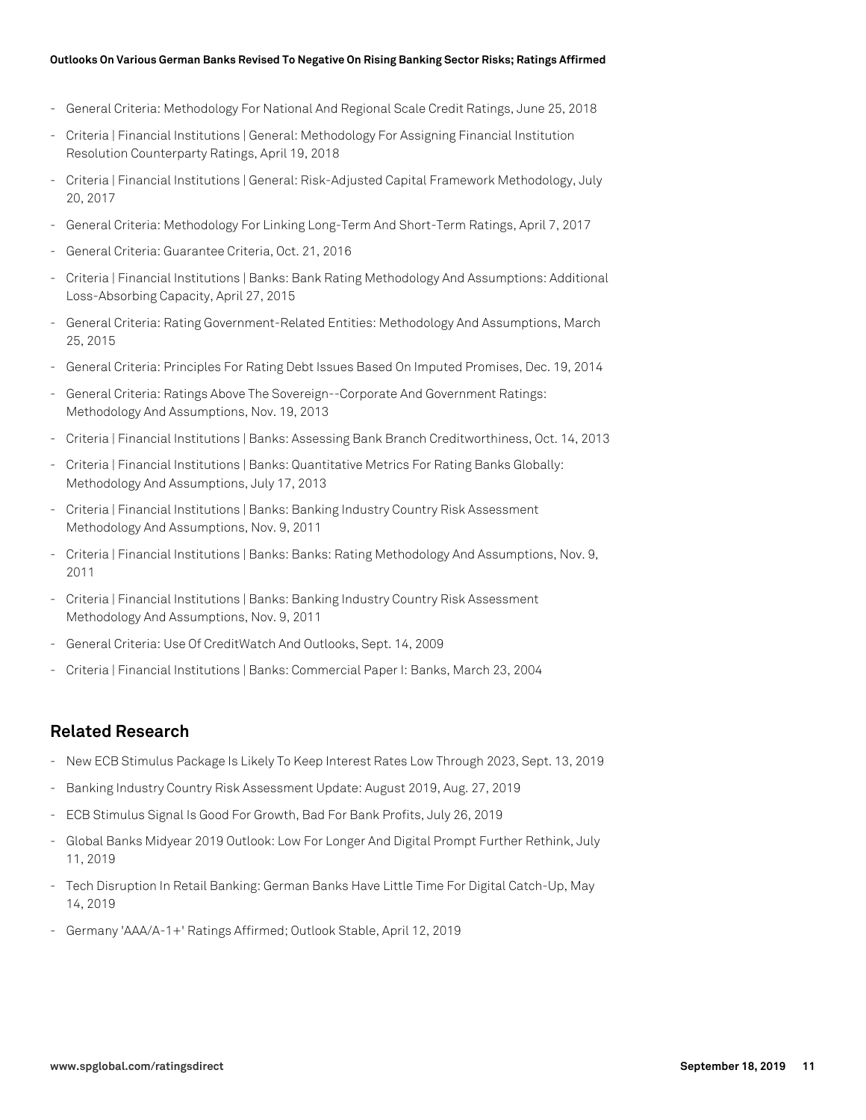#### **Outlooks On Various German Banks Revised To Negative On Rising Banking Sector Risks; Ratings Affirmed**

- General Criteria: Methodology For National And Regional Scale Credit Ratings, June 25, 2018
- Criteria | Financial Institutions | General: Methodology For Assigning Financial Institution Resolution Counterparty Ratings, April 19, 2018
- Criteria | Financial Institutions | General: Risk-Adjusted Capital Framework Methodology, July 20, 2017
- General Criteria: Methodology For Linking Long-Term And Short-Term Ratings, April 7, 2017
- General Criteria: Guarantee Criteria, Oct. 21, 2016
- Criteria | Financial Institutions | Banks: Bank Rating Methodology And Assumptions: Additional Loss-Absorbing Capacity, April 27, 2015
- General Criteria: Rating Government-Related Entities: Methodology And Assumptions, March 25, 2015
- General Criteria: Principles For Rating Debt Issues Based On Imputed Promises, Dec. 19, 2014
- General Criteria: Ratings Above The Sovereign--Corporate And Government Ratings: Methodology And Assumptions, Nov. 19, 2013
- Criteria | Financial Institutions | Banks: Assessing Bank Branch Creditworthiness, Oct. 14, 2013
- Criteria | Financial Institutions | Banks: Quantitative Metrics For Rating Banks Globally: Methodology And Assumptions, July 17, 2013
- Criteria | Financial Institutions | Banks: Banking Industry Country Risk Assessment Methodology And Assumptions, Nov. 9, 2011
- Criteria | Financial Institutions | Banks: Banks: Rating Methodology And Assumptions, Nov. 9, 2011
- Criteria | Financial Institutions | Banks: Banking Industry Country Risk Assessment Methodology And Assumptions, Nov. 9, 2011
- General Criteria: Use Of CreditWatch And Outlooks, Sept. 14, 2009
- Criteria | Financial Institutions | Banks: Commercial Paper I: Banks, March 23, 2004

# **Related Research**

- New ECB Stimulus Package Is Likely To Keep Interest Rates Low Through 2023, Sept. 13, 2019
- Banking Industry Country Risk Assessment Update: August 2019, Aug. 27, 2019
- ECB Stimulus Signal Is Good For Growth, Bad For Bank Profits, July 26, 2019
- Global Banks Midyear 2019 Outlook: Low For Longer And Digital Prompt Further Rethink, July 11, 2019
- Tech Disruption In Retail Banking: German Banks Have Little Time For Digital Catch-Up, May 14, 2019
- Germany 'AAA/A-1+' Ratings Affirmed; Outlook Stable, April 12, 2019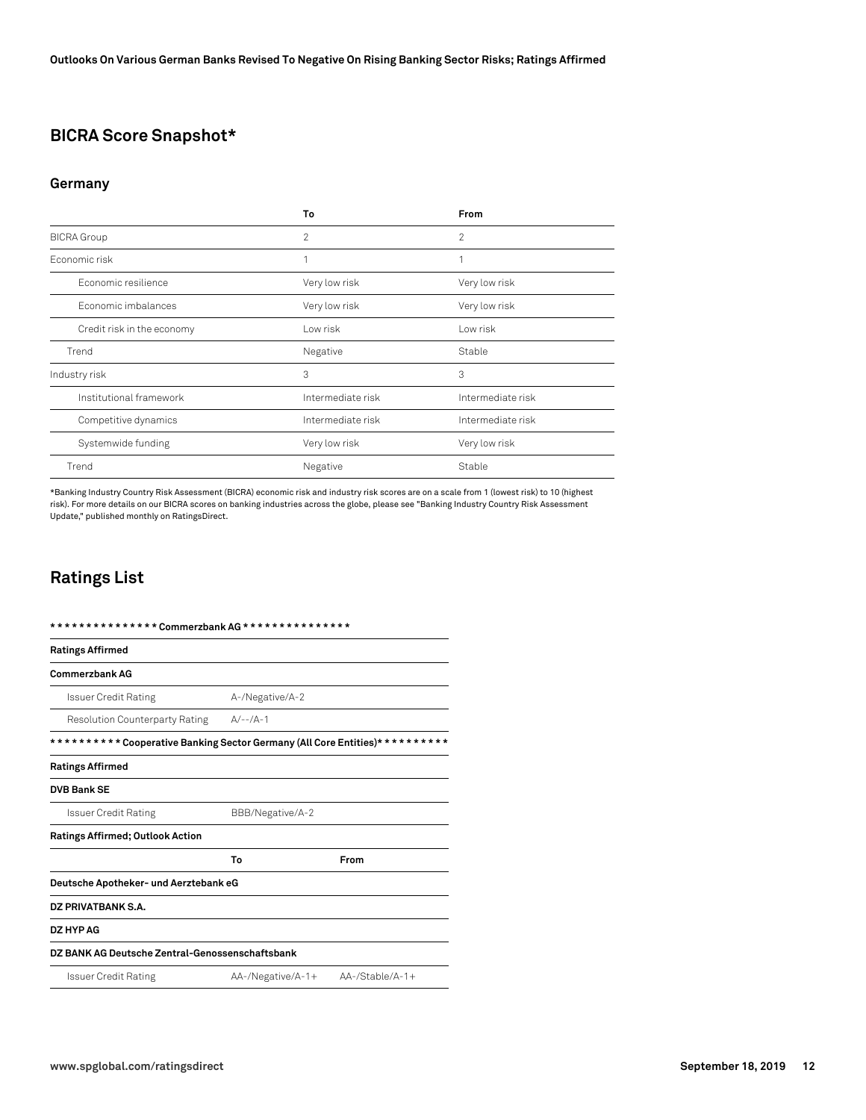# **BICRA Score Snapshot\***

#### **Germany**

|                            | To                | From              |
|----------------------------|-------------------|-------------------|
| <b>BICRA</b> Group         | 2                 | 2                 |
| Fconomic risk              | 1                 |                   |
| Economic resilience        | Very low risk     | Very low risk     |
| Economic imbalances        | Very low risk     | Very low risk     |
| Credit risk in the economy | Low risk          | Low risk          |
| Trend                      | Negative          | Stable            |
| Industry risk              | 3                 | 3                 |
| Institutional framework    | Intermediate risk | Intermediate risk |
| Competitive dynamics       | Intermediate risk | Intermediate risk |
| Systemwide funding         | Very low risk     | Very low risk     |
| Trend                      | Negative          | Stable            |

\*Banking Industry Country Risk Assessment (BICRA) economic risk and industry risk scores are on a scale from 1 (lowest risk) to 10 (highest risk). For more details on our BICRA scores on banking industries across the globe, please see "Banking Industry Country Risk Assessment Update," published monthly on RatingsDirect.

# **Ratings List**

| <b>Ratings Affirmed</b>                                                      |                   |                    |
|------------------------------------------------------------------------------|-------------------|--------------------|
| <b>Commerzbank AG</b>                                                        |                   |                    |
| Issuer Credit Rating                                                         | A-/Negative/A-2   |                    |
| <b>Resolution Counterparty Rating</b>                                        | $A/--(A-1)$       |                    |
| ********** Cooperative Banking Sector Germany (All Core Entities)* ********* |                   |                    |
| <b>Ratings Affirmed</b>                                                      |                   |                    |
| <b>DVB Bank SE</b>                                                           |                   |                    |
| Issuer Credit Rating                                                         | BBB/Negative/A-2  |                    |
| <b>Ratings Affirmed; Outlook Action</b>                                      |                   |                    |
|                                                                              | To                | From               |
| Deutsche Apotheker- und Aerztebank eG                                        |                   |                    |
| DZ PRIVATBANK S.A.                                                           |                   |                    |
| DZ HYP AG                                                                    |                   |                    |
| DZ BANK AG Deutsche Zentral-Genossenschaftsbank                              |                   |                    |
| Issuer Credit Rating                                                         | AA-/Negative/A-1+ | $AA$ -/Stable/A-1+ |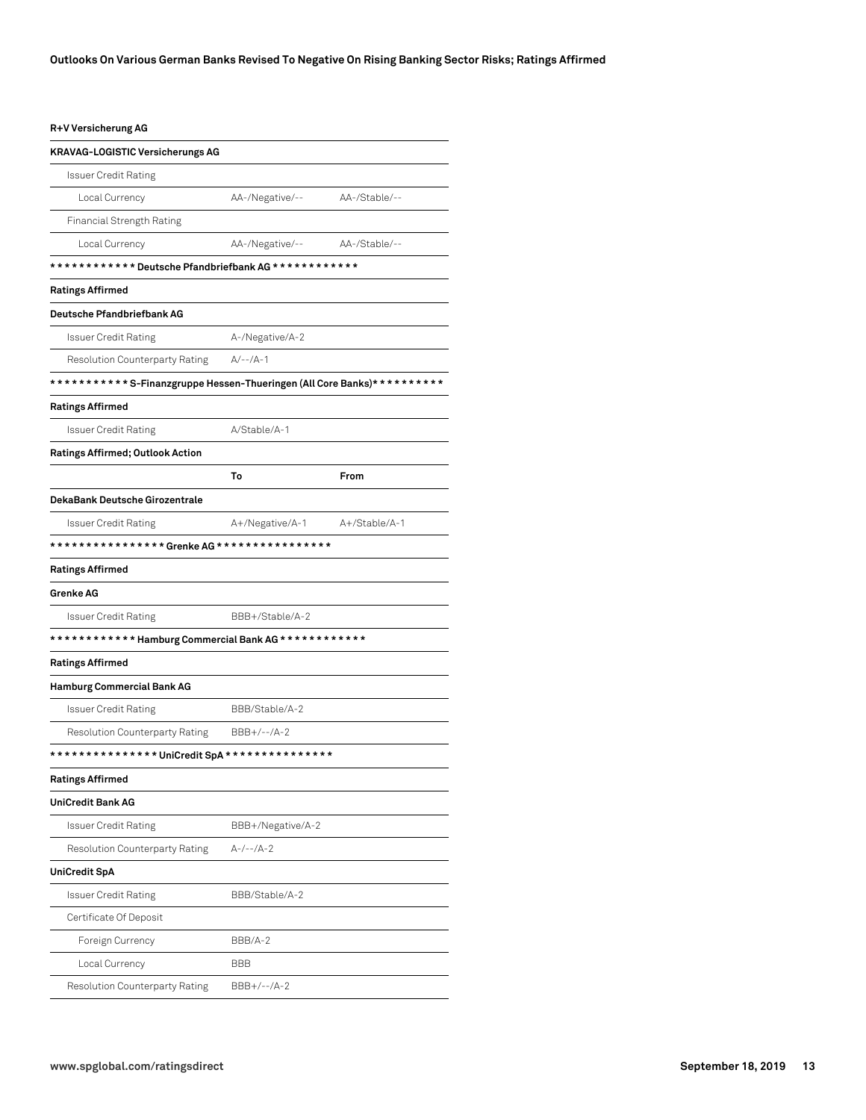#### **R+V Versicherung AG**

| <b>KRAVAG-LOGISTIC Versicherungs AG</b>                                |                   |               |
|------------------------------------------------------------------------|-------------------|---------------|
| Issuer Credit Rating                                                   |                   |               |
| Local Currency                                                         | AA-/Negative/--   | AA-/Stable/-- |
| Financial Strength Rating                                              |                   |               |
| Local Currency                                                         | AA-/Negative/--   | AA-/Stable/-- |
| *********** * Deutsche Pfandbriefbank AG ************                  |                   |               |
| Ratings Affirmed                                                       |                   |               |
| <b>Deutsche Pfandbriefbank AG</b>                                      |                   |               |
| <b>Issuer Credit Rating</b>                                            | A-/Negative/A-2   |               |
| <b>Resolution Counterparty Rating</b>                                  | $A/-- /A-1$       |               |
| ***********S-Finanzgruppe Hessen-Thueringen (All Core Banks)********** |                   |               |
| Ratings Affirmed                                                       |                   |               |
| Issuer Credit Rating                                                   | A/Stable/A-1      |               |
| Ratings Affirmed; Outlook Action                                       |                   |               |
|                                                                        | To                | From          |
| DekaBank Deutsche Girozentrale                                         |                   |               |
| Issuer Credit Rating                                                   | A+/Negative/A-1   | A+/Stable/A-1 |
|                                                                        |                   |               |
| <b>Ratings Affirmed</b>                                                |                   |               |
| <b>Grenke AG</b>                                                       |                   |               |
| <b>Issuer Credit Rating</b>                                            | BBB+/Stable/A-2   |               |
|                                                                        |                   |               |
| Ratings Affirmed                                                       |                   |               |
| <b>Hamburg Commercial Bank AG</b>                                      |                   |               |
| <b>Issuer Credit Rating</b>                                            | BBB/Stable/A-2    |               |
| <b>Resolution Counterparty Rating</b>                                  | $BBB+/--/A-2$     |               |
|                                                                        |                   |               |
| Ratings Affirmed                                                       |                   |               |
| <b>UniCredit Bank AG</b>                                               |                   |               |
| <b>Issuer Credit Rating</b>                                            | BBB+/Negative/A-2 |               |
| Resolution Counterparty Rating                                         | $A-/--/A-2$       |               |
| UniCredit SpA                                                          |                   |               |
| <b>Issuer Credit Rating</b>                                            | BBB/Stable/A-2    |               |
| Certificate Of Deposit                                                 |                   |               |
| Foreign Currency                                                       | BBB/A-2           |               |
| Local Currency                                                         | <b>BBB</b>        |               |
| Resolution Counterparty Rating                                         | BBB+/--/A-2       |               |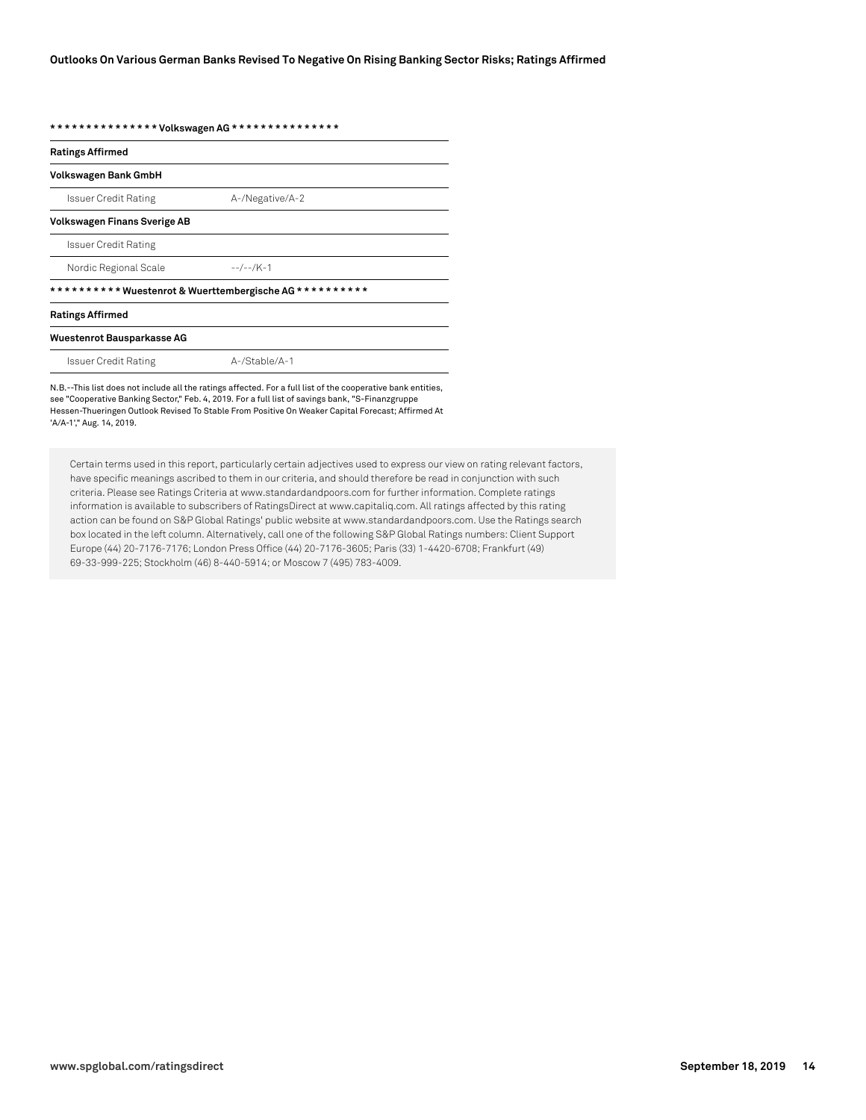**\* \* \* \* \* \* \* \* \* \* \* \* \* \* \* Volkswagen AG \* \* \* \* \* \* \* \* \* \* \* \* \* \* \***

| <b>Ratings Affirmed</b>             |                                                        |
|-------------------------------------|--------------------------------------------------------|
| Volkswagen Bank GmbH                |                                                        |
| <b>Issuer Credit Rating</b>         | A-/Negative/A-2                                        |
| <b>Volkswagen Finans Sverige AB</b> |                                                        |
| Issuer Credit Rating                |                                                        |
| Nordic Regional Scale               | $-$ -/--/K-1                                           |
|                                     | ********** Wuestenrot & Wuerttembergische AG********** |
| <b>Ratings Affirmed</b>             |                                                        |
| Wuestenrot Bausparkasse AG          |                                                        |
| Issuer Credit Rating                | A-/Stable/A-1                                          |
|                                     |                                                        |

N.B.--This list does not include all the ratings affected. For a full list of the cooperative bank entities, see "Cooperative Banking Sector," Feb. 4, 2019. For a full list of savings bank, "S-Finanzgruppe Hessen-Thueringen Outlook Revised To Stable From Positive On Weaker Capital Forecast; Affirmed At 'A/A-1'," Aug. 14, 2019.

Certain terms used in this report, particularly certain adjectives used to express our view on rating relevant factors, have specific meanings ascribed to them in our criteria, and should therefore be read in conjunction with such criteria. Please see Ratings Criteria at www.standardandpoors.com for further information. Complete ratings information is available to subscribers of RatingsDirect at www.capitaliq.com. All ratings affected by this rating action can be found on S&P Global Ratings' public website at www.standardandpoors.com. Use the Ratings search box located in the left column. Alternatively, call one of the following S&P Global Ratings numbers: Client Support Europe (44) 20-7176-7176; London Press Office (44) 20-7176-3605; Paris (33) 1-4420-6708; Frankfurt (49) 69-33-999-225; Stockholm (46) 8-440-5914; or Moscow 7 (495) 783-4009.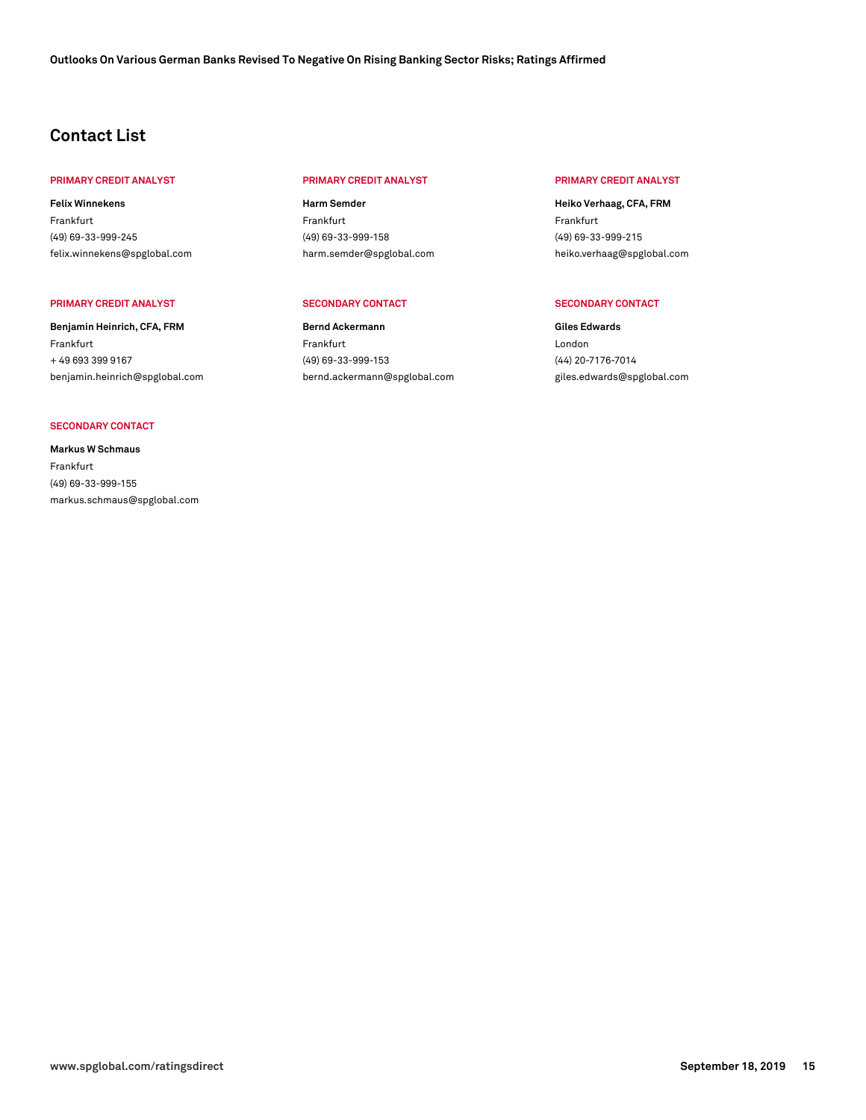# **Contact List**

#### **PRIMARY CREDIT ANALYST PRIMARY CREDIT ANALYST PRIMARY CREDIT ANALYST**

**Felix Winnekens** Frankfurt (49) 69-33-999-245 [felix.winnekens@spglobal.com](mailto: felix.winnekens@spglobal.com)

#### **PRIMARY CREDIT ANALYST SECONDARY CONTACT SECONDARY CONTACT**

**Benjamin Heinrich, CFA, FRM** Frankfurt + 49 693 399 9167 [benjamin.heinrich@spglobal.com](mailto: benjamin.heinrich@spglobal.com)

#### **SECONDARY CONTACT**

**Markus W Schmaus** Frankfurt (49) 69-33-999-155 [markus.schmaus@spglobal.com](mailto: markus.schmaus@spglobal.com)

**Harm Semder** Frankfurt (49) 69-33-999-158 [harm.semder@spglobal.com](mailto: harm.semder@spglobal.com)

**Bernd Ackermann** Frankfurt (49) 69-33-999-153 [bernd.ackermann@spglobal.com](mailto: bernd.ackermann@spglobal.com)

**Heiko Verhaag, CFA, FRM** Frankfurt (49) 69-33-999-215 [heiko.verhaag@spglobal.com](mailto: heiko.verhaag@spglobal.com)

**Giles Edwards** London (44) 20-7176-7014 [giles.edwards@spglobal.com](mailto: giles.edwards@spglobal.com)